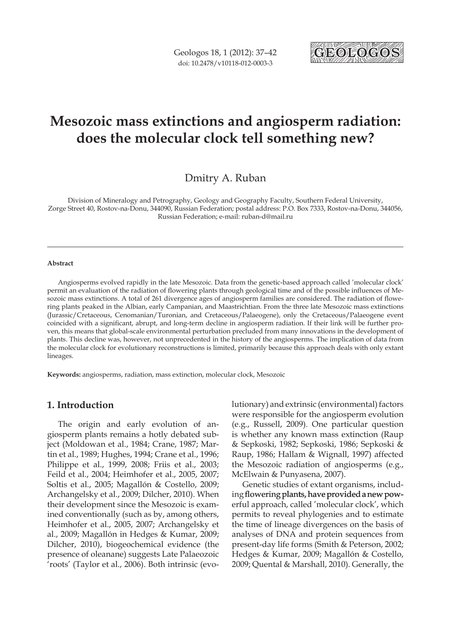

# **Mesozoic mass extinctions and angiosperm radiation: does the molecular clock tell something new?**

# Dmitry A. Ruban

Division of Mineralogy and Petrography, Geology and Geography Faculty, Southern Federal University, Zorge Street 40, Rostov-na-Donu, 344090, Russian Federation; postal address: P.O. Box 7333, Rostov-na-Donu, 344056, Russian Federation; e-mail: ruban-d@mail.ru

#### **Abstract**

Angiosperms evolved rapidly in the late Mesozoic. Data from the genetic-based approach called 'molecular clock' permit an evaluation of the radiation of flowering plants through geological time and of the possible influences of Mesozoic mass extinctions. A total of 261 divergence ages of angiosperm families are considered. The radiation of flowering plants peaked in the Albian, early Campanian, and Maastrichtian. From the three late Mesozoic mass extinctions (Jurassic/Cretaceous, Cenomanian/Turonian, and Cretaceous/Palaeogene), only the Cretaceous/Palaeogene event coincided with a significant, abrupt, and long-term decline in angiosperm radiation. If their link will be further proven, this means that global-scale environmental perturbation precluded from many innovations in the development of plants. This decline was, however, not unprecedented in the history of the angiosperms. The implication of data from the molecular clock for evolutionary reconstructions is limited, primarily because this approach deals with only extant lineages.

**Keywords:** angiosperms, radiation, mass extinction, molecular clock, Mesozoic

#### **1. Introduction**

The origin and early evolution of angiosperm plants remains a hotly debated subject (Moldowan et al., 1984; Crane, 1987; Martin et al., 1989; Hughes, 1994; Crane et al., 1996; Philippe et al., 1999, 2008; Friis et al., 2003; Feild et al., 2004; Heimhofer et al., 2005, 2007; Soltis et al., 2005; Magallón & Costello, 2009; Archangelsky et al., 2009; Dilcher, 2010). When their development since the Mesozoic is examined conventionally (such as by, among others, Heimhofer et al., 2005, 2007; Archangelsky et al., 2009; Magallón in Hedges & Kumar, 2009; Dilcher, 2010), biogeochemical evidence (the presence of oleanane) suggests Late Palaeozoic 'roots' (Taylor et al., 2006). Both intrinsic (evolutionary) and extrinsic (environmental) factors were responsible for the angiosperm evolution (e.g., Russell, 2009). One particular question is whether any known mass extinction (Raup & Sepkoski, 1982; Sepkoski, 1986; Sepkoski & Raup, 1986; Hallam & Wignall, 1997) affected the Mesozoic radiation of angiosperms (e.g., McElwain & Punyasena, 2007).

Genetic studies of extant organisms, including flowering plants, have provided anew powerful approach, called 'molecular clock', which permits to reveal phylogenies and to estimate the time of lineage divergences on the basis of analyses of DNA and protein sequences from present-day life forms (Smith & Peterson, 2002; Hedges & Kumar, 2009; Magallón & Costello, 2009; Quental & Marshall, 2010). Generally, the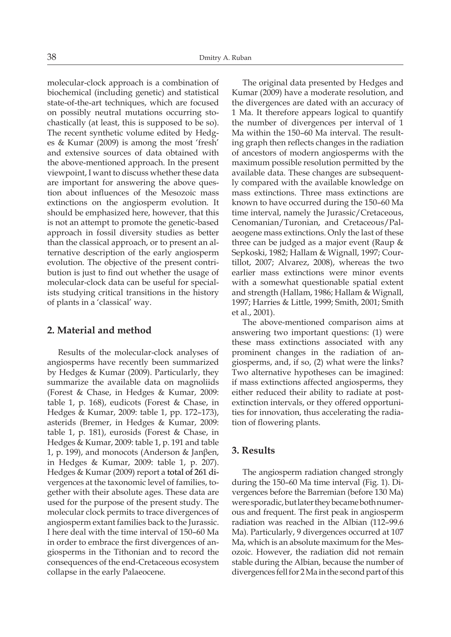molecular-clock approach is a combination of biochemical (including genetic) and statistical state-of-the-art techniques, which are focused on possibly neutral mutations occurring stochastically (at least, this is supposed to be so). The recent synthetic volume edited by Hedges & Kumar (2009) is among the most 'fresh' and extensive sources of data obtained with the above-mentioned approach. In the present viewpoint, I want to discuss whether these data are important for answering the above question about influences of the Mesozoic mass extinctions on the angiosperm evolution. It should be emphasized here, however, that this is not an attempt to promote the genetic-based approach in fossil diversity studies as better than the classical approach, or to present an alternative description of the early angiosperm evolution. The objective of the present contribution is just to find out whether the usage of molecular-clock data can be useful for specialists studying critical transitions in the history of plants in a 'classical' way.

### **2. Material and method**

Results of the molecular-clock analyses of angiosperms have recently been summarized by Hedges & Kumar (2009). Particularly, they summarize the available data on magnoliids (Forest & Chase, in Hedges & Kumar, 2009: table 1, p. 168), eudicots (Forest & Chase, in Hedges & Kumar, 2009: table 1, pp. 172–173), asterids (Bremer, in Hedges & Kumar, 2009: table 1, p. 181), eurosids (Forest & Chase, in Hedges & Kumar, 2009: table 1, p. 191 and table 1, p. 199), and monocots (Anderson & Janβen, in Hedges & Kumar, 2009: table 1, p. 207). Hedges & Kumar (2009) report a total of 261 divergences at the taxonomic level of families, together with their absolute ages. These data are used for the purpose of the present study. The molecular clock permits to trace divergences of angiosperm extant families back to the Jurassic. I here deal with the time interval of 150–60 Ma in order to embrace the first divergences of angiosperms in the Tithonian and to record the consequences of the end-Cretaceous ecosystem collapse in the early Palaeocene.

The original data presented by Hedges and Kumar (2009) have a moderate resolution, and the divergences are dated with an accuracy of 1 Ma. It therefore appears logical to quantify the number of divergences per interval of 1 Ma within the 150–60 Ma interval. The resulting graph then reflects changes in the radiation of ancestors of modern angiosperms with the maximum possible resolution permitted by the available data. These changes are subsequently compared with the available knowledge on mass extinctions. Three mass extinctions are known to have occurred during the 150–60 Ma time interval, namely the Jurassic/Cretaceous, Cenomanian/Turonian, and Cretaceous/Palaeogene mass extinctions. Only the last of these three can be judged as a major event (Raup & Sepkoski, 1982; Hallam & Wignall, 1997; Courtillot, 2007; Alvarez, 2008), whereas the two earlier mass extinctions were minor events with a somewhat questionable spatial extent and strength (Hallam, 1986; Hallam & Wignall, 1997; Harries & Little, 1999; Smith, 2001; Smith et al., 2001).

The above-mentioned comparison aims at answering two important questions: (1) were these mass extinctions associated with any prominent changes in the radiation of angiosperms, and, if so, (2) what were the links? Two alternative hypotheses can be imagined: if mass extinctions affected angiosperms, they either reduced their ability to radiate at postextinction intervals, or they offered opportunities for innovation, thus accelerating the radiation of flowering plants.

#### **3. Results**

The angiosperm radiation changed strongly during the 150–60 Ma time interval (Fig. 1). Divergences before the Barremian (before 130 Ma) were sporadic, but later they became both numerous and frequent. The first peak in angiosperm radiation was reached in the Albian (112–99.6 Ma). Particularly, 9 divergences occurred at 107 Ma, which is an absolute maximum for the Mesozoic. However, the radiation did not remain stable during the Albian, because the number of divergences fell for 2 Ma in the second part of this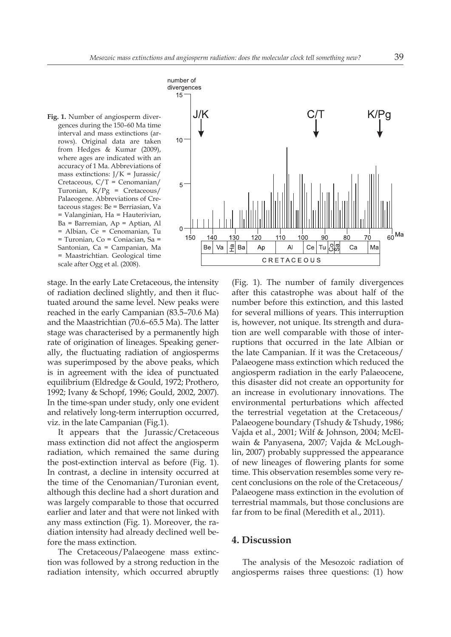



stage. In the early Late Cretaceous, the intensity of radiation declined slightly, and then it fluctuated around the same level. New peaks were reached in the early Campanian (83.5–70.6 Ma) and the Maastrichtian (70.6–65.5 Ma). The latter stage was characterised by a permanently high rate of origination of lineages. Speaking generally, the fluctuating radiation of angiosperms was superimposed by the above peaks, which is in agreement with the idea of punctuated equilibrium (Eldredge & Gould, 1972; Prothero, 1992; Ivany & Schopf, 1996; Gould, 2002, 2007). In the time-span under study, only one evident and relatively long-term interruption occurred, viz. in the late Campanian (Fig.1).

It appears that the Jurassic/Cretaceous mass extinction did not affect the angiosperm radiation, which remained the same during the post-extinction interval as before (Fig. 1). In contrast, a decline in intensity occurred at the time of the Cenomanian/Turonian event, although this decline had a short duration and was largely comparable to those that occurred earlier and later and that were not linked with any mass extinction (Fig. 1). Moreover, the radiation intensity had already declined well before the mass extinction.

The Cretaceous/Palaeogene mass extinction was followed by a strong reduction in the radiation intensity, which occurred abruptly

(Fig. 1). The number of family divergences after this catastrophe was about half of the number before this extinction, and this lasted for several millions of years. This interruption is, however, not unique. Its strength and duration are well comparable with those of interruptions that occurred in the late Albian or the late Campanian. If it was the Cretaceous/ Palaeogene mass extinction which reduced the angiosperm radiation in the early Palaeocene, this disaster did not create an opportunity for an increase in evolutionary innovations. The environmental perturbations which affected the terrestrial vegetation at the Cretaceous/ Palaeogene boundary (Tshudy & Tshudy, 1986; Vajda et al., 2001; Wilf & Johnson, 2004; McElwain & Panyasena, 2007; Vajda & McLoughlin, 2007) probably suppressed the appearance of new lineages of flowering plants for some time. This observation resembles some very recent conclusions on the role of the Cretaceous/ Palaeogene mass extinction in the evolution of terrestrial mammals, but those conclusions are far from to be final (Meredith et al., 2011).

#### **4. Discussion**

The analysis of the Mesozoic radiation of angiosperms raises three questions: (1) how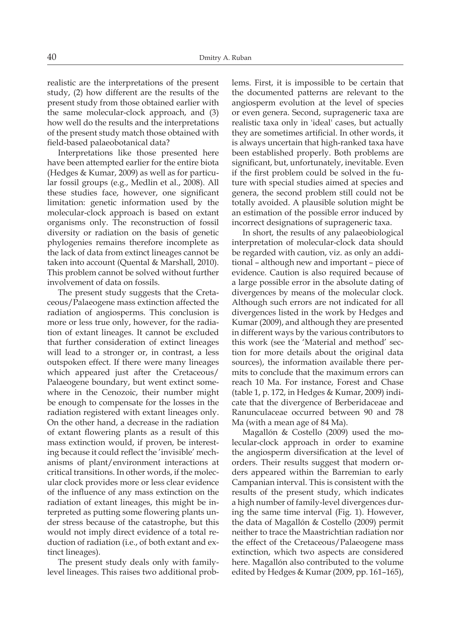realistic are the interpretations of the present study, (2) how different are the results of the present study from those obtained earlier with the same molecular-clock approach, and (3) how well do the results and the interpretations of the present study match those obtained with field-based palaeobotanical data?

Interpretations like those presented here have been attempted earlier for the entire biota (Hedges & Kumar, 2009) as well as for particular fossil groups (e.g., Medlin et al., 2008). All these studies face, however, one significant limitation: genetic information used by the molecular-clock approach is based on extant organisms only. The reconstruction of fossil diversity or radiation on the basis of genetic phylogenies remains therefore incomplete as the lack of data from extinct lineages cannot be taken into account (Quental & Marshall, 2010). This problem cannot be solved without further involvement of data on fossils.

The present study suggests that the Cretaceous/Palaeogene mass extinction affected the radiation of angiosperms. This conclusion is more or less true only, however, for the radiation of extant lineages. It cannot be excluded that further consideration of extinct lineages will lead to a stronger or, in contrast, a less outspoken effect. If there were many lineages which appeared just after the Cretaceous/ Palaeogene boundary, but went extinct somewhere in the Cenozoic, their number might be enough to compensate for the losses in the radiation registered with extant lineages only. On the other hand, a decrease in the radiation of extant flowering plants as a result of this mass extinction would, if proven, be interesting because it could reflect the 'invisible' mechanisms of plant/environment interactions at critical transitions. In other words, if the molecular clock provides more or less clear evidence of the influence of any mass extinction on the radiation of extant lineages, this might be interpreted as putting some flowering plants under stress because of the catastrophe, but this would not imply direct evidence of a total reduction of radiation (i.e., of both extant and extinct lineages).

The present study deals only with familylevel lineages. This raises two additional problems. First, it is impossible to be certain that the documented patterns are relevant to the angiosperm evolution at the level of species or even genera. Second, suprageneric taxa are realistic taxa only in 'ideal' cases, but actually they are sometimes artificial. In other words, it is always uncertain that high-ranked taxa have been established properly. Both problems are significant, but, unfortunately, inevitable. Even if the first problem could be solved in the future with special studies aimed at species and genera, the second problem still could not be totally avoided. A plausible solution might be an estimation of the possible error induced by incorrect designations of suprageneric taxa.

In short, the results of any palaeobiological interpretation of molecular-clock data should be regarded with caution, viz. as only an additional – although new and important – piece of evidence. Caution is also required because of a large possible error in the absolute dating of divergences by means of the molecular clock. Although such errors are not indicated for all divergences listed in the work by Hedges and Kumar (2009), and although they are presented in different ways by the various contributors to this work (see the 'Material and method' section for more details about the original data sources), the information available there permits to conclude that the maximum errors can reach 10 Ma. For instance, Forest and Chase (table 1, p. 172, in Hedges & Kumar, 2009) indicate that the divergence of Berberidaceae and Ranunculaceae occurred between 90 and 78 Ma (with a mean age of 84 Ma).

Magallón & Costello (2009) used the molecular-clock approach in order to examine the angiosperm diversification at the level of orders. Their results suggest that modern orders appeared within the Barremian to early Campanian interval. This is consistent with the results of the present study, which indicates a high number of family-level divergences during the same time interval (Fig. 1). However, the data of Magallón & Costello (2009) permit neither to trace the Maastrichtian radiation nor the effect of the Cretaceous/Palaeogene mass extinction, which two aspects are considered here. Magallón also contributed to the volume edited by Hedges & Kumar (2009, pp. 161–165),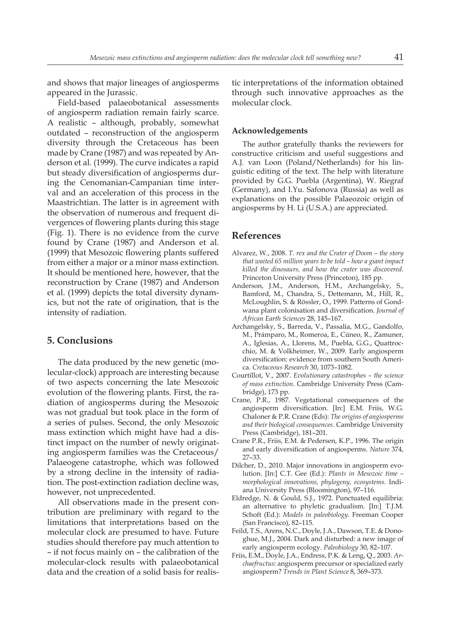and shows that major lineages of angiosperms appeared in the Jurassic.

Field-based palaeobotanical assessments of angiosperm radiation remain fairly scarce. A realistic – although, probably, somewhat outdated – reconstruction of the angiosperm diversity through the Cretaceous has been made by Crane (1987) and was repeated by Anderson et al. (1999). The curve indicates a rapid but steady diversification of angiosperms during the Cenomanian-Campanian time interval and an acceleration of this process in the Maastrichtian. The latter is in agreement with the observation of numerous and frequent divergences of flowering plants during this stage (Fig. 1). There is no evidence from the curve found by Crane (1987) and Anderson et al. (1999) that Mesozoic flowering plants suffered from either a major or a minor mass extinction. It should be mentioned here, however, that the reconstruction by Crane (1987) and Anderson et al. (1999) depicts the total diversity dynamics, but not the rate of origination, that is the intensity of radiation.

## **5. Conclusions**

The data produced by the new genetic (molecular-clock) approach are interesting because of two aspects concerning the late Mesozoic evolution of the flowering plants. First, the radiation of angiosperms during the Mesozoic was not gradual but took place in the form of a series of pulses. Second, the only Mesozoic mass extinction which might have had a distinct impact on the number of newly originating angiosperm families was the Cretaceous/ Palaeogene catastrophe, which was followed by a strong decline in the intensity of radiation. The post-extinction radiation decline was, however, not unprecedented.

All observations made in the present contribution are preliminary with regard to the limitations that interpretations based on the molecular clock are presumed to have. Future studies should therefore pay much attention to – if not focus mainly on – the calibration of the molecular-clock results with palaeobotanical data and the creation of a solid basis for realistic interpretations of the information obtained through such innovative approaches as the molecular clock.

#### **Acknowledgements**

The author gratefully thanks the reviewers for constructive criticism and useful suggestions and A.J. van Loon (Poland/Netherlands) for his linguistic editing of the text. The help with literature provided by G.G. Puebla (Argentina), W. Riegraf (Germany), and I.Yu. Safonova (Russia) as well as explanations on the possible Palaeozoic origin of angiosperms by H. Li (U.S.A.) are appreciated.

#### **References**

- Alvarez, W., 2008. *T. rex and the Crater of Doom the story that waited 65 million years to be told – how a giant impact killed the dinosaurs, and how the crater was discovered*. Princeton University Press (Princeton), 185 pp.
- Anderson, J.M., Anderson, H.M., Archangelsky, S., Bamford, M., Chandra, S., Dettemann, M., Hill, R., McLoughlin, S. & Rössler, O., 1999. Patterns of Gondwana plant colonisation and diversification. *Journal of African Earth Sciences* 28, 145–167.
- Archangelsky, S., Barreda, V., Passalia, M.G., Gandolfo, M., Prámparo, M., Romeroa, E., Cúneo, R., Zamuner, A., Iglesias, A., Llorens, M., Puebla, G.G., Quattrocchio, M. & Volkheimer, W., 2009. Early angiosperm diversification: evidence from southern South America. *Cretaceous Research* 30, 1073–1082.
- Courtillot, V., 2007. *Evolutionary catastrophes the science of mass extinction*. Cambridge University Press (Cambridge), 173 pp.
- Crane, P.R., 1987. Vegetational consequences of the angiosperm diversification. [In:] E.M. Friis, W.G. Chaloner & P.R. Crane (Eds): *The origins of angiosperms and their biological consequences*. Cambridge University Press (Cambridge), 181–201.
- Crane P.R., Friis, E.M. & Pedersen, K.P., 1996. The origin and early diversification of angiosperms. *Nature* 374, 27–33.
- Dilcher, D., 2010. Major innovations in angiosperm evolution. [In:] C.T. Gee (Ed.): *Plants in Mesozoic time – morphological innovations, phylogeny, ecosystems.* Indiana University Press (Bloomington), 97–116.
- Eldredge, N. & Gould, S.J., 1972. Punctuated equilibria: an alternative to phyletic gradualism. [In:] T.J.M. Schoft (Ed.): *Models in paleobiology*. Freeman Cooper (San Francisco), 82–115.
- Feild, T.S., Arens, N.C., Doyle, J.A., Dawson, T.E. & Donoghue, M.J., 2004. Dark and disturbed: a new image of early angiosperm ecology. *Paleobiology* 30, 82–107.
- Friis, E.M., Doyle, J.A., Endress, P.K. & Leng, Q., 2003. *Archaefructus*: angiosperm precursor or specialized early angiosperm? *Trends in Plant Science* 8, 369–373.